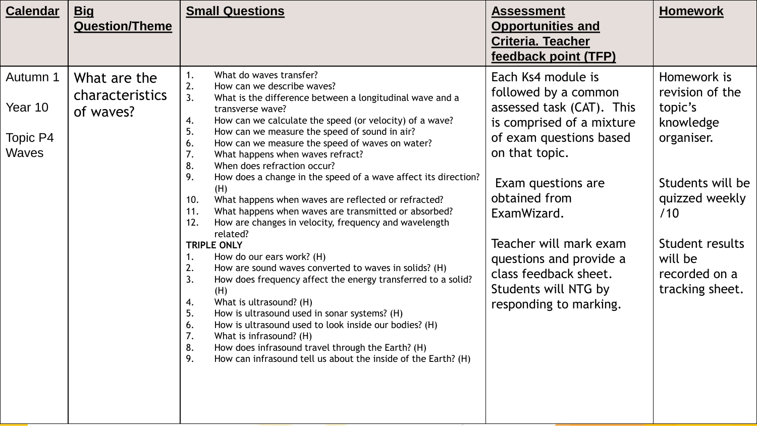| <b>Calendar</b>                                 | <u>Big</u><br><b>Question/Theme</b>                 | <b>Small Questions</b>                                                                                                                                                                                                                                                                                                                                                                                                                                                                                                                                                                                                                                                                                                                                                                                                                                                                                                                                                                                                                                                                                                                                                                                                            | <b>Assessment</b><br><b>Opportunities and</b><br><b>Criteria. Teacher</b><br>feedback point (TFP)                                                                                                                                                                                                                                       | <b>Homework</b>                                                                                                                                                                     |
|-------------------------------------------------|-----------------------------------------------------|-----------------------------------------------------------------------------------------------------------------------------------------------------------------------------------------------------------------------------------------------------------------------------------------------------------------------------------------------------------------------------------------------------------------------------------------------------------------------------------------------------------------------------------------------------------------------------------------------------------------------------------------------------------------------------------------------------------------------------------------------------------------------------------------------------------------------------------------------------------------------------------------------------------------------------------------------------------------------------------------------------------------------------------------------------------------------------------------------------------------------------------------------------------------------------------------------------------------------------------|-----------------------------------------------------------------------------------------------------------------------------------------------------------------------------------------------------------------------------------------------------------------------------------------------------------------------------------------|-------------------------------------------------------------------------------------------------------------------------------------------------------------------------------------|
| Autumn 1<br>Year 10<br>Topic P4<br><b>Waves</b> | What are the<br><b>characteristics</b><br>of waves? | What do waves transfer?<br>2.<br>How can we describe waves?<br>3.<br>What is the difference between a longitudinal wave and a<br>transverse wave?<br>How can we calculate the speed (or velocity) of a wave?<br>4.<br>5.<br>How can we measure the speed of sound in air?<br>How can we measure the speed of waves on water?<br>6.<br>What happens when waves refract?<br>7.<br>8.<br>When does refraction occur?<br>9.<br>How does a change in the speed of a wave affect its direction?<br>(H)<br>What happens when waves are reflected or refracted?<br>10.<br>What happens when waves are transmitted or absorbed?<br>11.<br>How are changes in velocity, frequency and wavelength<br>12.<br>related?<br><b>TRIPLE ONLY</b><br>How do our ears work? (H)<br>How are sound waves converted to waves in solids? (H)<br>2.<br>How does frequency affect the energy transferred to a solid?<br>3.<br>(H)<br>What is ultrasound? (H)<br>4.<br>How is ultrasound used in sonar systems? (H)<br>5.<br>How is ultrasound used to look inside our bodies? (H)<br>6.<br>What is infrasound? (H)<br>7.<br>How does infrasound travel through the Earth? (H)<br>8.<br>How can infrasound tell us about the inside of the Earth? (H)<br>9. | Each Ks4 module is<br>followed by a common<br>assessed task (CAT). This<br>is comprised of a mixture<br>of exam questions based<br>on that topic.<br>Exam questions are<br>obtained from<br>ExamWizard.<br>Teacher will mark exam<br>questions and provide a<br>class feedback sheet.<br>Students will NTG by<br>responding to marking. | Homework is<br>revision of the<br>topic's<br>knowledge<br>organiser.<br>Students will be<br>quizzed weekly<br>/10<br>Student results<br>will be<br>recorded on a<br>tracking sheet. |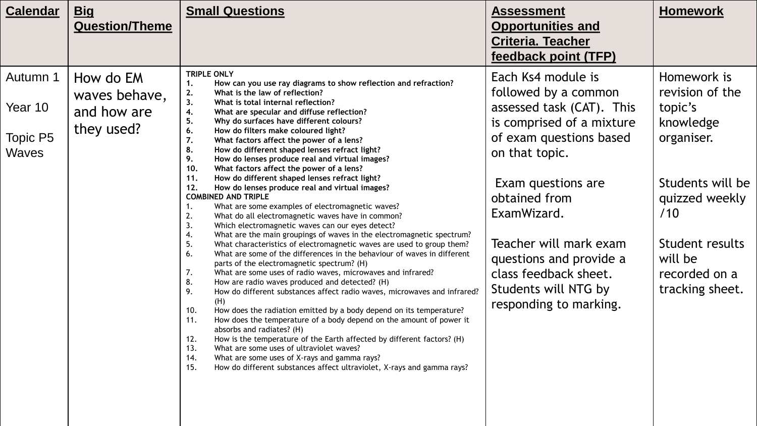| <b>Calendar</b>                          | <u>Big</u><br><b>Question/Theme</b>                     | <b>Small Questions</b>                                                                                                                                                                                                                                                                                                                                                                                                                                                                                                                                                                                                                                                                                                                                                                                                                                                                                                                                                                                                                                                                                                                                                                                                                                                                                                                                                                                                                                                                                                                                                                                                                                                                                                                                                                                                                                                     | <b>Assessment</b><br><b>Opportunities and</b><br><b>Criteria. Teacher</b><br>feedback point (TFP)                                                                                                                                                                                                                                       | <b>Homework</b>                                                                                                                                                                     |
|------------------------------------------|---------------------------------------------------------|----------------------------------------------------------------------------------------------------------------------------------------------------------------------------------------------------------------------------------------------------------------------------------------------------------------------------------------------------------------------------------------------------------------------------------------------------------------------------------------------------------------------------------------------------------------------------------------------------------------------------------------------------------------------------------------------------------------------------------------------------------------------------------------------------------------------------------------------------------------------------------------------------------------------------------------------------------------------------------------------------------------------------------------------------------------------------------------------------------------------------------------------------------------------------------------------------------------------------------------------------------------------------------------------------------------------------------------------------------------------------------------------------------------------------------------------------------------------------------------------------------------------------------------------------------------------------------------------------------------------------------------------------------------------------------------------------------------------------------------------------------------------------------------------------------------------------------------------------------------------------|-----------------------------------------------------------------------------------------------------------------------------------------------------------------------------------------------------------------------------------------------------------------------------------------------------------------------------------------|-------------------------------------------------------------------------------------------------------------------------------------------------------------------------------------|
| Autumn 1<br>Year 10<br>Topic P5<br>Waves | How do EM<br>waves behave,<br>and how are<br>they used? | <b>TRIPLE ONLY</b><br>How can you use ray diagrams to show reflection and refraction?<br>1.<br>2.<br>What is the law of reflection?<br>3.<br>What is total internal reflection?<br>4.<br>What are specular and diffuse reflection?<br>5.<br>Why do surfaces have different colours?<br>6.<br>How do filters make coloured light?<br>7.<br>What factors affect the power of a lens?<br>8.<br>How do different shaped lenses refract light?<br>9.<br>How do lenses produce real and virtual images?<br>10.<br>What factors affect the power of a lens?<br>11.<br>How do different shaped lenses refract light?<br>12.<br>How do lenses produce real and virtual images?<br><b>COMBINED AND TRIPLE</b><br>What are some examples of electromagnetic waves?<br>1.<br>What do all electromagnetic waves have in common?<br>2.<br>3.<br>Which electromagnetic waves can our eyes detect?<br>What are the main groupings of waves in the electromagnetic spectrum?<br>4.<br>5.<br>What characteristics of electromagnetic waves are used to group them?<br>6.<br>What are some of the differences in the behaviour of waves in different<br>parts of the electromagnetic spectrum? (H)<br>What are some uses of radio waves, microwaves and infrared?<br>7.<br>8.<br>How are radio waves produced and detected? (H)<br>9.<br>How do different substances affect radio waves, microwaves and infrared?<br>(H)<br>10.<br>How does the radiation emitted by a body depend on its temperature?<br>11.<br>How does the temperature of a body depend on the amount of power it<br>absorbs and radiates? (H)<br>How is the temperature of the Earth affected by different factors? (H)<br>12.<br>13.<br>What are some uses of ultraviolet waves?<br>What are some uses of X-rays and gamma rays?<br>14.<br>15.<br>How do different substances affect ultraviolet, X-rays and gamma rays? | Each Ks4 module is<br>followed by a common<br>assessed task (CAT). This<br>is comprised of a mixture<br>of exam questions based<br>on that topic.<br>Exam questions are<br>obtained from<br>ExamWizard.<br>Teacher will mark exam<br>questions and provide a<br>class feedback sheet.<br>Students will NTG by<br>responding to marking. | Homework is<br>revision of the<br>topic's<br>knowledge<br>organiser.<br>Students will be<br>quizzed weekly<br>/10<br>Student results<br>will be<br>recorded on a<br>tracking sheet. |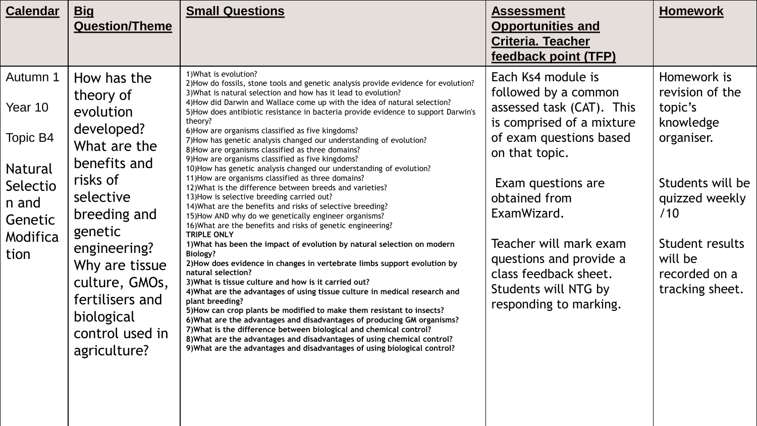| <b>Calendar</b>                                                                                       | <b>Big</b><br><b>Question/Theme</b>                                                                                                                                                                                                                             | <b>Small Questions</b>                                                                                                                                                                                                                                                                                                                                                                                                                                                                                                                                                                                                                                                                                                                                                                                                                                                                                                                                                                                                                                                                                                                                                                                                                                                                                                                                                                                                                                                                                                                                                                                                                                                                                                                                                                            | <b>Assessment</b><br><b>Opportunities and</b><br><b>Criteria. Teacher</b><br>feedback point (TFP)                                                                                                                                                                                                                                       | <b>Homework</b>                                                                                                                                                                     |
|-------------------------------------------------------------------------------------------------------|-----------------------------------------------------------------------------------------------------------------------------------------------------------------------------------------------------------------------------------------------------------------|---------------------------------------------------------------------------------------------------------------------------------------------------------------------------------------------------------------------------------------------------------------------------------------------------------------------------------------------------------------------------------------------------------------------------------------------------------------------------------------------------------------------------------------------------------------------------------------------------------------------------------------------------------------------------------------------------------------------------------------------------------------------------------------------------------------------------------------------------------------------------------------------------------------------------------------------------------------------------------------------------------------------------------------------------------------------------------------------------------------------------------------------------------------------------------------------------------------------------------------------------------------------------------------------------------------------------------------------------------------------------------------------------------------------------------------------------------------------------------------------------------------------------------------------------------------------------------------------------------------------------------------------------------------------------------------------------------------------------------------------------------------------------------------------------|-----------------------------------------------------------------------------------------------------------------------------------------------------------------------------------------------------------------------------------------------------------------------------------------------------------------------------------------|-------------------------------------------------------------------------------------------------------------------------------------------------------------------------------------|
| Autumn 1<br>Year 10<br>Topic B4<br><b>Natural</b><br>Selectio<br>n and<br>Genetic<br>Modifica<br>tion | How has the<br>theory of<br>evolution<br>developed?<br>What are the<br>benefits and<br>risks of<br>selective<br>breeding and<br>genetic<br>engineering?<br>Why are tissue<br>culture, GMOs,<br>fertilisers and<br>biological<br>control used in<br>agriculture? | 1) What is evolution?<br>2) How do fossils, stone tools and genetic analysis provide evidence for evolution?<br>3) What is natural selection and how has it lead to evolution?<br>4) How did Darwin and Wallace come up with the idea of natural selection?<br>5) How does antibiotic resistance in bacteria provide evidence to support Darwin's<br>theory?<br>6) How are organisms classified as five kingdoms?<br>7) How has genetic analysis changed our understanding of evolution?<br>8) How are organisms classified as three domains?<br>9) How are organisms classified as five kingdoms?<br>10) How has genetic analysis changed our understanding of evolution?<br>11) How are organisms classified as three domains?<br>12) What is the difference between breeds and varieties?<br>13) How is selective breeding carried out?<br>14) What are the benefits and risks of selective breeding?<br>15) How AND why do we genetically engineer organisms?<br>16) What are the benefits and risks of genetic engineering?<br><b>TRIPLE ONLY</b><br>1) What has been the impact of evolution by natural selection on modern<br><b>Biology?</b><br>2) How does evidence in changes in vertebrate limbs support evolution by<br>natural selection?<br>3) What is tissue culture and how is it carried out?<br>4) What are the advantages of using tissue culture in medical research and<br>plant breeding?<br>5) How can crop plants be modified to make them resistant to insects?<br>6) What are the advantages and disadvantages of producing GM organisms?<br>7) What is the difference between biological and chemical control?<br>8) What are the advantages and disadvantages of using chemical control?<br>9) What are the advantages and disadvantages of using biological control? | Each Ks4 module is<br>followed by a common<br>assessed task (CAT). This<br>is comprised of a mixture<br>of exam questions based<br>on that topic.<br>Exam questions are<br>obtained from<br>ExamWizard.<br>Teacher will mark exam<br>questions and provide a<br>class feedback sheet.<br>Students will NTG by<br>responding to marking. | Homework is<br>revision of the<br>topic's<br>knowledge<br>organiser.<br>Students will be<br>quizzed weekly<br>/10<br>Student results<br>will be<br>recorded on a<br>tracking sheet. |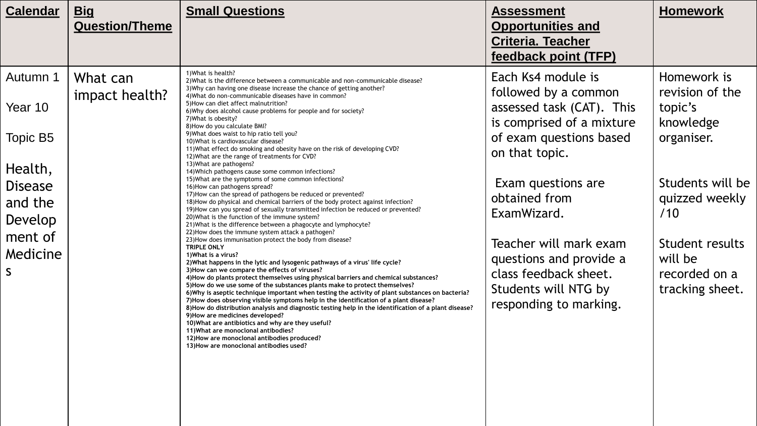| <b>Calendar</b>                                                                        | <u>Big</u><br><b>Question/Theme</b> | <b>Small Questions</b>                                                                                                                                                                                                                                                                                                                                                                                                                                                                                                                                                                                                                                                                                                                                                                                                                                                                                                                                                                                                                                                                                                                                                                                                                                                                                                                                                                                                                                                                                                                                                                 | <b>Assessment</b><br><b>Opportunities and</b><br><b>Criteria. Teacher</b><br>feedback point (TFP)                                                                                                    | <b>Homework</b>                                                                                             |
|----------------------------------------------------------------------------------------|-------------------------------------|----------------------------------------------------------------------------------------------------------------------------------------------------------------------------------------------------------------------------------------------------------------------------------------------------------------------------------------------------------------------------------------------------------------------------------------------------------------------------------------------------------------------------------------------------------------------------------------------------------------------------------------------------------------------------------------------------------------------------------------------------------------------------------------------------------------------------------------------------------------------------------------------------------------------------------------------------------------------------------------------------------------------------------------------------------------------------------------------------------------------------------------------------------------------------------------------------------------------------------------------------------------------------------------------------------------------------------------------------------------------------------------------------------------------------------------------------------------------------------------------------------------------------------------------------------------------------------------|------------------------------------------------------------------------------------------------------------------------------------------------------------------------------------------------------|-------------------------------------------------------------------------------------------------------------|
| Autumn 1                                                                               | What can                            | 1) What is health?<br>2) What is the difference between a communicable and non-communicable disease?                                                                                                                                                                                                                                                                                                                                                                                                                                                                                                                                                                                                                                                                                                                                                                                                                                                                                                                                                                                                                                                                                                                                                                                                                                                                                                                                                                                                                                                                                   | Each Ks4 module is                                                                                                                                                                                   | Homework is                                                                                                 |
| Year 10                                                                                | impact health?                      | 3) Why can having one disease increase the chance of getting another?<br>4) What do non-communicable diseases have in common?<br>5) How can diet affect malnutrition?<br>6) Why does alcohol cause problems for people and for society?<br>7) What is obesity?<br>8) How do you calculate BMI?<br>9) What does waist to hip ratio tell you?<br>10) What is cardiovascular disease?<br>11) What effect do smoking and obesity have on the risk of developing CVD?                                                                                                                                                                                                                                                                                                                                                                                                                                                                                                                                                                                                                                                                                                                                                                                                                                                                                                                                                                                                                                                                                                                       | followed by a common<br>assessed task (CAT). This<br>is comprised of a mixture<br>of exam questions based                                                                                            | revision of the<br>topic's<br>knowledge<br>organiser.                                                       |
| Topic B5                                                                               |                                     |                                                                                                                                                                                                                                                                                                                                                                                                                                                                                                                                                                                                                                                                                                                                                                                                                                                                                                                                                                                                                                                                                                                                                                                                                                                                                                                                                                                                                                                                                                                                                                                        |                                                                                                                                                                                                      |                                                                                                             |
| Health,<br><b>Disease</b><br>and the<br>Develop<br>ment of<br>Medicine<br>$\mathsf{S}$ |                                     | 12) What are the range of treatments for CVD?<br>13) What are pathogens?<br>14) Which pathogens cause some common infections?<br>15) What are the symptoms of some common infections?<br>16) How can pathogens spread?<br>17) How can the spread of pathogens be reduced or prevented?<br>18) How do physical and chemical barriers of the body protect against infection?<br>19) How can you spread of sexually transmitted infection be reduced or prevented?<br>20) What is the function of the immune system?<br>21) What is the difference between a phagocyte and lymphocyte?<br>22) How does the immune system attack a pathogen?<br>23) How does immunisation protect the body from disease?<br><b>TRIPLE ONLY</b><br>1) What is a virus?<br>2) What happens in the lytic and lysogenic pathways of a virus' life cycle?<br>3) How can we compare the effects of viruses?<br>4) How do plants protect themselves using physical barriers and chemical substances?<br>5) How do we use some of the substances plants make to protect themselves?<br>6) Why is aseptic technique important when testing the activity of plant substances on bacteria?<br>7) How does observing visible symptoms help in the identification of a plant disease?<br>8) How do distribution analysis and diagnostic testing help in the identification of a plant disease?<br>9) How are medicines developed?<br>10) What are antibiotics and why are they useful?<br>11) What are monoclonal antibodies?<br>12) How are monoclonal antibodies produced?<br>13) How are monoclonal antibodies used? | on that topic.<br>Exam questions are<br>obtained from<br>ExamWizard.<br>Teacher will mark exam<br>questions and provide a<br>class feedback sheet.<br>Students will NTG by<br>responding to marking. | Students will be<br>quizzed weekly<br>/10<br>Student results<br>will be<br>recorded on a<br>tracking sheet. |